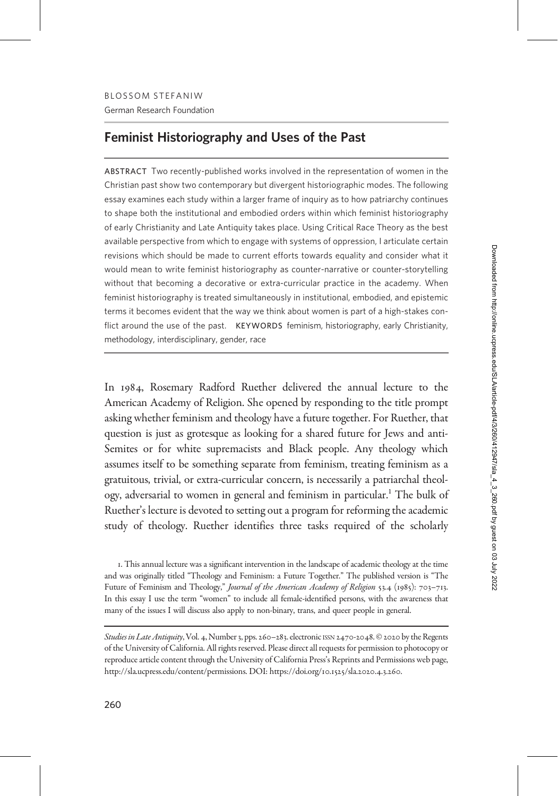## Feminist Historiography and Uses of the Past

ABSTRACT Two recently-published works involved in the representation of women in the Christian past show two contemporary but divergent historiographic modes. The following essay examines each study within a larger frame of inquiry as to how patriarchy continues to shape both the institutional and embodied orders within which feminist historiography of early Christianity and Late Antiquity takes place. Using Critical Race Theory as the best available perspective from which to engage with systems of oppression, I articulate certain revisions which should be made to current efforts towards equality and consider what it would mean to write feminist historiography as counter-narrative or counter-storytelling without that becoming a decorative or extra-curricular practice in the academy. When feminist historiography is treated simultaneously in institutional, embodied, and epistemic terms it becomes evident that the way we think about women is part of a high-stakes conflict around the use of the past. KEYWORDS feminism, historiography, early Christianity, methodology, interdisciplinary, gender, race

In 1984, Rosemary Radford Ruether delivered the annual lecture to the American Academy of Religion. She opened by responding to the title prompt asking whether feminism and theology have a future together. For Ruether, that question is just as grotesque as looking for a shared future for Jews and anti-Semites or for white supremacists and Black people. Any theology which assumes itself to be something separate from feminism, treating feminism as a gratuitous, trivial, or extra-curricular concern, is necessarily a patriarchal theology, adversarial to women in general and feminism in particular.1 The bulk of Ruether's lecture is devoted to setting out a program for reforming the academic study of theology. Ruether identifies three tasks required of the scholarly

. This annual lecture was a significant intervention in the landscape of academic theology at the time and was originally titled "Theology and Feminism: a Future Together." The published version is "The Future of Feminism and Theology," Journal of the American Academy of Religion 53.4 (1985): 703-713. In this essay I use the term "women" to include all female-identified persons, with the awareness that many of the issues I will discuss also apply to non-binary, trans, and queer people in general.

Studies in Late Antiquity, Vol. 4, Number 3, pps. 260-283. electronic ISSN 2470-2048. © 2020 by the Regents of the University of California. All rights reserved. Please direct all requests for permission to photocopy or reproduce article content through the University of California Press's Reprints and Permissions web page, [http://sla.ucpress.edu/content/permissions.](http://sla.ucpress.edu/content/permissions) DOI: [https://doi.org/](https://doi.org/10.1525/sla.2020.4.3.260.)10.1525/sla.2020.4.3.260.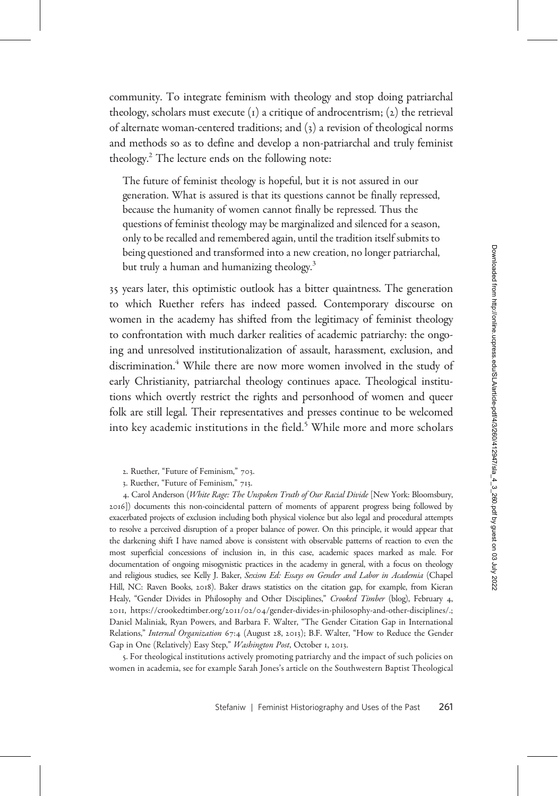community. To integrate feminism with theology and stop doing patriarchal theology, scholars must execute  $(i)$  a critique of androcentrism;  $(i)$  the retrieval of alternate woman-centered traditions; and  $(3)$  a revision of theological norms and methods so as to define and develop a non-patriarchal and truly feminist theology.2 The lecture ends on the following note:

The future of feminist theology is hopeful, but it is not assured in our generation. What is assured is that its questions cannot be finally repressed, because the humanity of women cannot finally be repressed. Thus the questions of feminist theology may be marginalized and silenced for a season, only to be recalled and remembered again, until the tradition itself submits to being questioned and transformed into a new creation, no longer patriarchal, but truly a human and humanizing theology.<sup>3</sup>

 years later, this optimistic outlook has a bitter quaintness. The generation to which Ruether refers has indeed passed. Contemporary discourse on women in the academy has shifted from the legitimacy of feminist theology to confrontation with much darker realities of academic patriarchy: the ongoing and unresolved institutionalization of assault, harassment, exclusion, and discrimination.<sup>4</sup> While there are now more women involved in the study of early Christianity, patriarchal theology continues apace. Theological institutions which overtly restrict the rights and personhood of women and queer folk are still legal. Their representatives and presses continue to be welcomed into key academic institutions in the field.<sup>5</sup> While more and more scholars

- 2. Ruether, "Future of Feminism," 703.
- 3. Ruether, "Future of Feminism," 713.

4. Carol Anderson (White Rage: The Unspoken Truth of Our Racial Divide [New York: Bloomsbury, ]) documents this non-coincidental pattern of moments of apparent progress being followed by exacerbated projects of exclusion including both physical violence but also legal and procedural attempts to resolve a perceived disruption of a proper balance of power. On this principle, it would appear that the darkening shift I have named above is consistent with observable patterns of reaction to even the most superficial concessions of inclusion in, in this case, academic spaces marked as male. For documentation of ongoing misogynistic practices in the academy in general, with a focus on theology and religious studies, see Kelly J. Baker, Sexism Ed: Essays on Gender and Labor in Academia (Chapel Hill, NC: Raven Books, 2018). Baker draws statistics on the citation gap, for example, from Kieran Healy, "Gender Divides in Philosophy and Other Disciplines," Crooked Timber (blog), February 4, 2011, https://crookedtimber.org/2011/02/04[/gender-divides-in-philosophy-and-other-disciplines/.;](https://crookedtimber.org/2011/02/04/gender-divides-in-philosophy-and-other-disciplines/) Daniel Maliniak, Ryan Powers, and Barbara F. Walter, "The Gender Citation Gap in International Relations," Internal Organization 67:4 (August 28, 2013); B.F. Walter, "How to Reduce the Gender Gap in One (Relatively) Easy Step," Washington Post, October 1, 2013.

. For theological institutions actively promoting patriarchy and the impact of such policies on women in academia, see for example Sarah Jones's article on the Southwestern Baptist Theological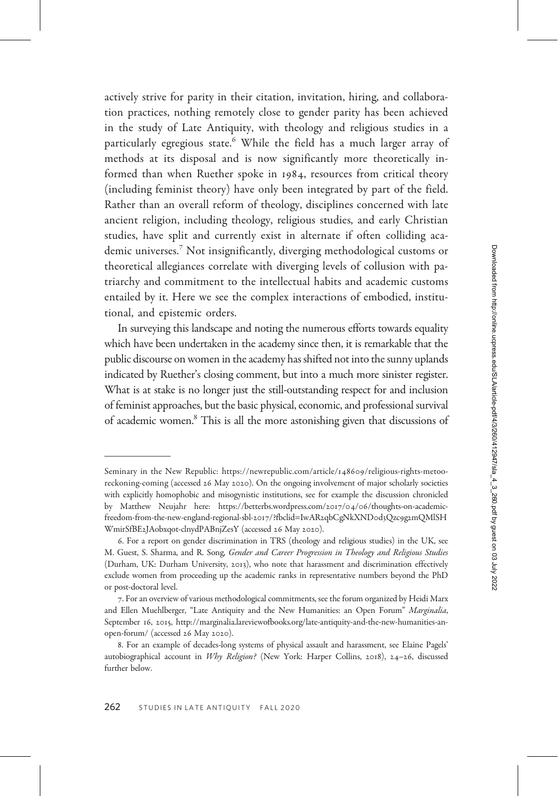actively strive for parity in their citation, invitation, hiring, and collaboration practices, nothing remotely close to gender parity has been achieved in the study of Late Antiquity, with theology and religious studies in a particularly egregious state.<sup>6</sup> While the field has a much larger array of methods at its disposal and is now significantly more theoretically informed than when Ruether spoke in 1984, resources from critical theory (including feminist theory) have only been integrated by part of the field. Rather than an overall reform of theology, disciplines concerned with late ancient religion, including theology, religious studies, and early Christian studies, have split and currently exist in alternate if often colliding academic universes.<sup>7</sup> Not insignificantly, diverging methodological customs or theoretical allegiances correlate with diverging levels of collusion with patriarchy and commitment to the intellectual habits and academic customs entailed by it. Here we see the complex interactions of embodied, institutional, and epistemic orders.

In surveying this landscape and noting the numerous efforts towards equality which have been undertaken in the academy since then, it is remarkable that the public discourse on women in the academy has shifted not into the sunny uplands indicated by Ruether's closing comment, but into a much more sinister register. What is at stake is no longer just the still-outstanding respect for and inclusion of feminist approaches, but the basic physical, economic, and professional survival of academic women.8 This is all the more astonishing given that discussions of

Seminary in the New Republic: [https://newrepublic.com/article/](https://newrepublic.com/article/148609/religious-rights-metoo-reckoning-coming)/religious-rights-metoo[reckoning-coming](https://newrepublic.com/article/148609/religious-rights-metoo-reckoning-coming) (accessed 26 May 2020). On the ongoing involvement of major scholarly societies with explicitly homophobic and misogynistic institutions, see for example the discussion chronicled by Matthew Neujahr here: [https://betterbs.wordpress.com/](https://betterbs.wordpress.com/2017/04/06/thoughts-on-academic-freedom-from-the-new-england-regional-sbl-2017/?fbclid=IwAR2qbCgNkXND0d3Qzc9g2mQMlSHWmirSfBE2JAobxqot-clnydPABnjZesY)2017/04/06/thoughts-on-academic[freedom-from-the-new-england-regional-sbl-](https://betterbs.wordpress.com/2017/04/06/thoughts-on-academic-freedom-from-the-new-england-regional-sbl-2017/?fbclid=IwAR2qbCgNkXND0d3Qzc9g2mQMlSHWmirSfBE2JAobxqot-clnydPABnjZesY)2017/?fbclid=IwAR2qbCgNkXNDod3Qzc9g2mQMlSH WmirSfBE2[JAobxqot-clnydPABnjZesY](https://betterbs.wordpress.com/2017/04/06/thoughts-on-academic-freedom-from-the-new-england-regional-sbl-2017/?fbclid=IwAR2qbCgNkXND0d3Qzc9g2mQMlSHWmirSfBE2JAobxqot-clnydPABnjZesY) (accessed 26 May 2020).

<sup>.</sup> For a report on gender discrimination in TRS (theology and religious studies) in the UK, see M. Guest, S. Sharma, and R. Song, Gender and Career Progression in Theology and Religious Studies (Durham, UK: Durham University, 2013), who note that harassment and discrimination effectively exclude women from proceeding up the academic ranks in representative numbers beyond the PhD or post-doctoral level.

<sup>.</sup> For an overview of various methodological commitments, see the forum organized by Heidi Marx and Ellen Muehlberger, "Late Antiquity and the New Humanities: an Open Forum" Marginalia, September 16, 2015, [http://marginalia.lareviewofbooks.org/late-antiquity-and-the-new-humanities-an](http://marginalia.lareviewofbooks.org/late-antiquity-and-the-new-humanities-an-open-forum/)[open-forum/](http://marginalia.lareviewofbooks.org/late-antiquity-and-the-new-humanities-an-open-forum/) (accessed 26 May 2020).

<sup>.</sup> For an example of decades-long systems of physical assault and harassment, see Elaine Pagels' autobiographical account in Why Religion? (New York: Harper Collins, 2018), 24-26, discussed further below.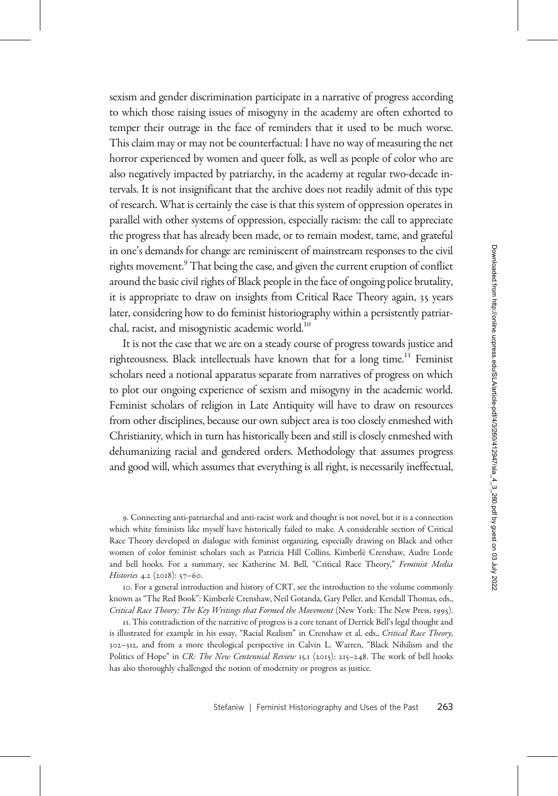sexism and gender discrimination participate in a narrative of progress according to which those raising issues of misogyny in the academy are often exhorted to temper their outrage in the face of reminders that it used to be much worse. This claim may or may not be counterfactual: I have no way of measuring the net horror experienced by women and queer folk, as well as people of color who are also negatively impacted by patriarchy, in the academy at regular two-decade intervals. It is not insignificant that the archive does not readily admit of this type of research. What is certainly the case is that this system of oppression operates in parallel with other systems of oppression, especially racism: the call to appreciate the progress that has already been made, or to remain modest, tame, and grateful in one's demands for change are reminiscent of mainstream responses to the civil rights movement.<sup>9</sup> That being the case, and given the current eruption of conflict around the basic civil rights of Black people in the face of ongoing police brutality, it is appropriate to draw on insights from Critical Race Theory again, 35 years later, considering how to do feminist historiography within a persistently patriarchal, racist, and misogynistic academic world.10

It is not the case that we are on a steady course of progress towards justice and righteousness. Black intellectuals have known that for a long time.<sup>11</sup> Feminist scholars need a notional apparatus separate from narratives of progress on which to plot our ongoing experience of sexism and misogyny in the academic world. Feminist scholars of religion in Late Antiquity will have to draw on resources from other disciplines, because our own subject area is too closely enmeshed with Christianity, which in turn has historically been and still is closely enmeshed with dehumanizing racial and gendered orders. Methodology that assumes progress and good will, which assumes that everything is all right, is necessarily ineffectual,

. Connecting anti-patriarchal and anti-racist work and thought is not novel, but it is a connection which white feminists like myself have historically failed to make. A considerable section of Critical Race Theory developed in dialogue with feminist organizing, especially drawing on Black and other women of color feminist scholars such as Patricia Hill Collins, Kimberlè Crenshaw, Audre Lorde and bell hooks. For a summary, see Katherine M. Bell, "Critical Race Theory," Feminist Media Histories  $4.2$  ( $2018$ ):  $57-60$ .

. For a general introduction and history of CRT, see the introduction to the volume commonly known as "The Red Book": Kimberlè Crenshaw, Neil Gotanda, Gary Peller, and Kendall Thomas, eds., Critical Race Theory: The Key Writings that Formed the Movement (New York: The New Press, 1995).

. This contradiction of the narrative of progress is a core tenant of Derrick Bell's legal thought and is illustrated for example in his essay, "Racial Realism" in Crenshaw et al. eds., Critical Race Theory, –, and from a more theological perspective in Calvin L. Warren, "Black Nihilism and the Politics of Hope" in CR: The New Centennial Review 15.1 (2015): 215-248. The work of bell hooks has also thoroughly challenged the notion of modernity or progress as justice.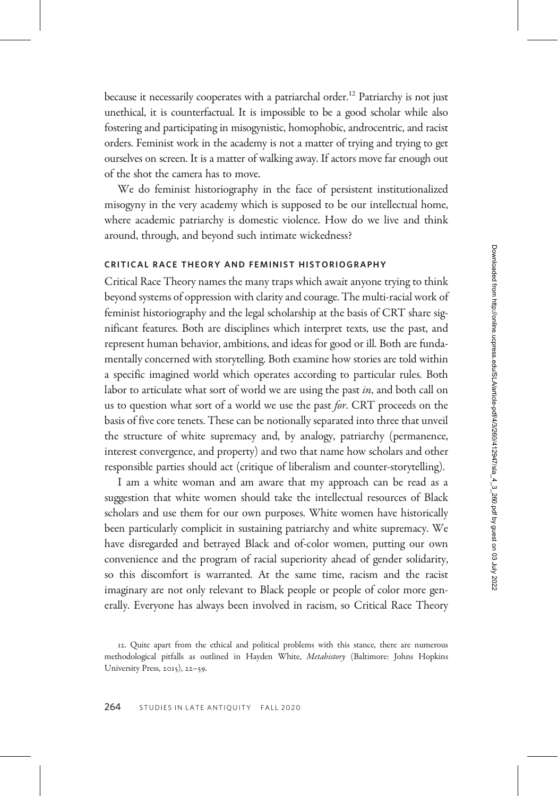because it necessarily cooperates with a patriarchal order.<sup>12</sup> Patriarchy is not just unethical, it is counterfactual. It is impossible to be a good scholar while also fostering and participating in misogynistic, homophobic, androcentric, and racist orders. Feminist work in the academy is not a matter of trying and trying to get ourselves on screen. It is a matter of walking away. If actors move far enough out of the shot the camera has to move.

We do feminist historiography in the face of persistent institutionalized misogyny in the very academy which is supposed to be our intellectual home, where academic patriarchy is domestic violence. How do we live and think around, through, and beyond such intimate wickedness?

## CRITICAL RACE THEORY AND FEMINIST HISTORIOGRAPHY

Critical Race Theory names the many traps which await anyone trying to think beyond systems of oppression with clarity and courage. The multi-racial work of feminist historiography and the legal scholarship at the basis of CRT share significant features. Both are disciplines which interpret texts, use the past, and represent human behavior, ambitions, and ideas for good or ill. Both are fundamentally concerned with storytelling. Both examine how stories are told within a specific imagined world which operates according to particular rules. Both labor to articulate what sort of world we are using the past in, and both call on us to question what sort of a world we use the past for. CRT proceeds on the basis of five core tenets. These can be notionally separated into three that unveil the structure of white supremacy and, by analogy, patriarchy (permanence, interest convergence, and property) and two that name how scholars and other responsible parties should act (critique of liberalism and counter-storytelling).

I am a white woman and am aware that my approach can be read as a suggestion that white women should take the intellectual resources of Black scholars and use them for our own purposes. White women have historically been particularly complicit in sustaining patriarchy and white supremacy. We have disregarded and betrayed Black and of-color women, putting our own convenience and the program of racial superiority ahead of gender solidarity, so this discomfort is warranted. At the same time, racism and the racist imaginary are not only relevant to Black people or people of color more generally. Everyone has always been involved in racism, so Critical Race Theory

<sup>.</sup> Quite apart from the ethical and political problems with this stance, there are numerous methodological pitfalls as outlined in Hayden White, Metahistory (Baltimore: Johns Hopkins University Press, 2015), 22-59.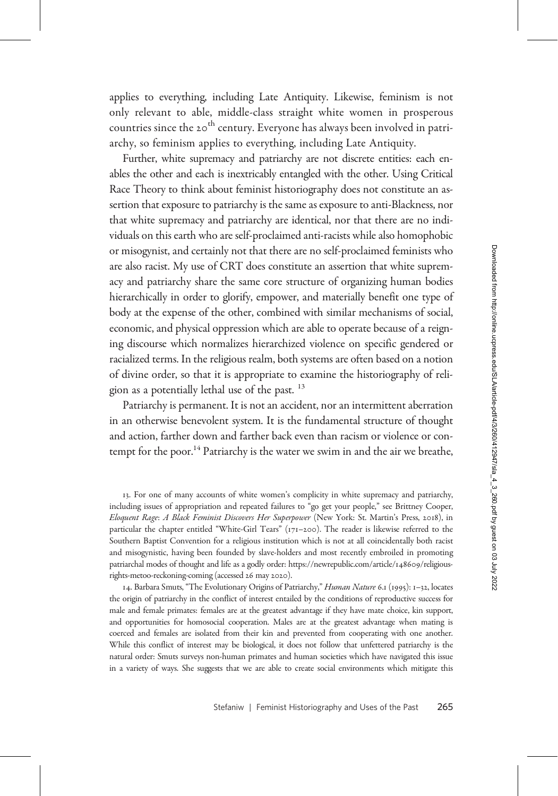applies to everything, including Late Antiquity. Likewise, feminism is not only relevant to able, middle-class straight white women in prosperous countries since the 20<sup>th</sup> century. Everyone has always been involved in patriarchy, so feminism applies to everything, including Late Antiquity.

Further, white supremacy and patriarchy are not discrete entities: each enables the other and each is inextricably entangled with the other. Using Critical Race Theory to think about feminist historiography does not constitute an assertion that exposure to patriarchy is the same as exposure to anti-Blackness, nor that white supremacy and patriarchy are identical, nor that there are no individuals on this earth who are self-proclaimed anti-racists while also homophobic or misogynist, and certainly not that there are no self-proclaimed feminists who are also racist. My use of CRT does constitute an assertion that white supremacy and patriarchy share the same core structure of organizing human bodies hierarchically in order to glorify, empower, and materially benefit one type of body at the expense of the other, combined with similar mechanisms of social, economic, and physical oppression which are able to operate because of a reigning discourse which normalizes hierarchized violence on specific gendered or racialized terms. In the religious realm, both systems are often based on a notion of divine order, so that it is appropriate to examine the historiography of religion as a potentially lethal use of the past. <sup>13</sup>

Patriarchy is permanent. It is not an accident, nor an intermittent aberration in an otherwise benevolent system. It is the fundamental structure of thought and action, farther down and farther back even than racism or violence or contempt for the poor.<sup>14</sup> Patriarchy is the water we swim in and the air we breathe,

. For one of many accounts of white women's complicity in white supremacy and patriarchy, including issues of appropriation and repeated failures to "go get your people," see Brittney Cooper, Eloquent Rage: A Black Feminist Discovers Her Superpower (New York: St. Martin's Press, 2018), in particular the chapter entitled "White-Girl Tears" ( $_{171-200}$ ). The reader is likewise referred to the Southern Baptist Convention for a religious institution which is not at all coincidentally both racist and misogynistic, having been founded by slave-holders and most recently embroiled in promoting patriarchal modes of thought and life as a godly order: [https://newrepublic.com/article/](https://newrepublic.com/article/148609/religious-rights-metoo-reckoning-coming)/religious[rights-metoo-reckoning-coming](https://newrepublic.com/article/148609/religious-rights-metoo-reckoning-coming) (accessed 26 may 2020).

14. Barbara Smuts, "The Evolutionary Origins of Patriarchy," Human Nature 6.1 (1995): 1-32, locates the origin of patriarchy in the conflict of interest entailed by the conditions of reproductive success for male and female primates: females are at the greatest advantage if they have mate choice, kin support, and opportunities for homosocial cooperation. Males are at the greatest advantage when mating is coerced and females are isolated from their kin and prevented from cooperating with one another. While this conflict of interest may be biological, it does not follow that unfettered patriarchy is the natural order: Smuts surveys non-human primates and human societies which have navigated this issue in a variety of ways. She suggests that we are able to create social environments which mitigate this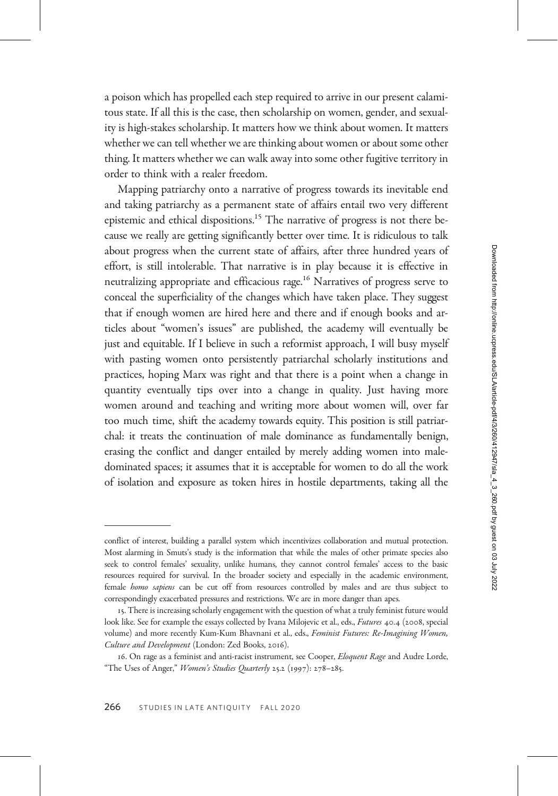a poison which has propelled each step required to arrive in our present calamitous state. If all this is the case, then scholarship on women, gender, and sexuality is high-stakes scholarship. It matters how we think about women. It matters whether we can tell whether we are thinking about women or about some other thing. It matters whether we can walk away into some other fugitive territory in order to think with a realer freedom.

Mapping patriarchy onto a narrative of progress towards its inevitable end and taking patriarchy as a permanent state of affairs entail two very different epistemic and ethical dispositions.15 The narrative of progress is not there because we really are getting significantly better over time. It is ridiculous to talk about progress when the current state of affairs, after three hundred years of effort, is still intolerable. That narrative is in play because it is effective in neutralizing appropriate and efficacious rage.<sup>16</sup> Narratives of progress serve to conceal the superficiality of the changes which have taken place. They suggest that if enough women are hired here and there and if enough books and articles about "women's issues" are published, the academy will eventually be just and equitable. If I believe in such a reformist approach, I will busy myself with pasting women onto persistently patriarchal scholarly institutions and practices, hoping Marx was right and that there is a point when a change in quantity eventually tips over into a change in quality. Just having more women around and teaching and writing more about women will, over far too much time, shift the academy towards equity. This position is still patriarchal: it treats the continuation of male dominance as fundamentally benign, erasing the conflict and danger entailed by merely adding women into maledominated spaces; it assumes that it is acceptable for women to do all the work of isolation and exposure as token hires in hostile departments, taking all the

conflict of interest, building a parallel system which incentivizes collaboration and mutual protection. Most alarming in Smuts's study is the information that while the males of other primate species also seek to control females' sexuality, unlike humans, they cannot control females' access to the basic resources required for survival. In the broader society and especially in the academic environment, female homo sapiens can be cut off from resources controlled by males and are thus subject to correspondingly exacerbated pressures and restrictions. We are in more danger than apes.

<sup>.</sup> There is increasing scholarly engagement with the question of what a truly feminist future would look like. See for example the essays collected by Ivana Milojevic et al., eds., *Futures* 40.4 (2008, special volume) and more recently Kum-Kum Bhavnani et al., eds., Feminist Futures: Re-Imagining Women, Culture and Development (London: Zed Books, 2016).

<sup>16.</sup> On rage as a feminist and anti-racist instrument, see Cooper, Eloquent Rage and Audre Lorde, "The Uses of Anger," Women's Studies Quarterly 25.2 (1997): 278-285.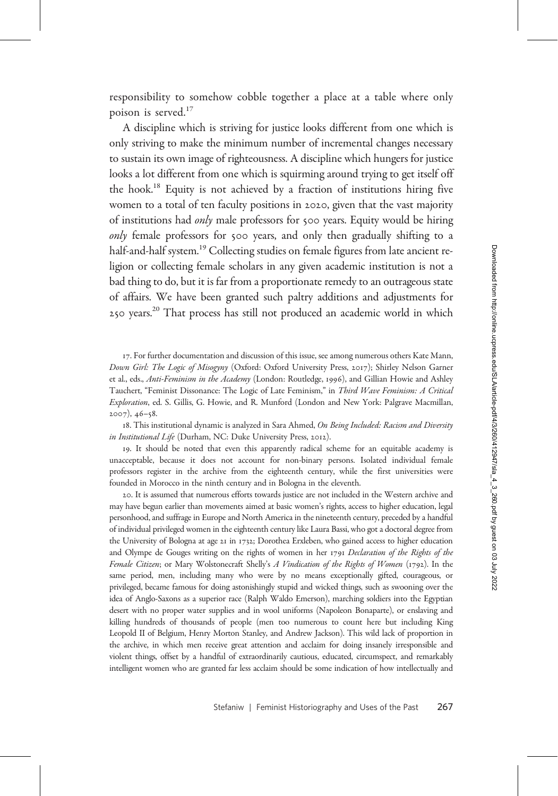responsibility to somehow cobble together a place at a table where only poison is served.<sup>17</sup>

A discipline which is striving for justice looks different from one which is only striving to make the minimum number of incremental changes necessary to sustain its own image of righteousness. A discipline which hungers for justice looks a lot different from one which is squirming around trying to get itself off the hook.18 Equity is not achieved by a fraction of institutions hiring five women to a total of ten faculty positions in 2020, given that the vast majority of institutions had *only* male professors for 500 years. Equity would be hiring only female professors for 500 years, and only then gradually shifting to a half-and-half system.<sup>19</sup> Collecting studies on female figures from late ancient religion or collecting female scholars in any given academic institution is not a bad thing to do, but it is far from a proportionate remedy to an outrageous state of affairs. We have been granted such paltry additions and adjustments for 250 years.<sup>20</sup> That process has still not produced an academic world in which

17. For further documentation and discussion of this issue, see among numerous others Kate Mann, Down Girl: The Logic of Misogyny (Oxford: Oxford University Press, 2017); Shirley Nelson Garner et al., eds., Anti-Feminism in the Academy (London: Routledge, 1996), and Gillian Howie and Ashley Tauchert, "Feminist Dissonance: The Logic of Late Feminism," in Third Wave Feminism: A Critical Exploration, ed. S. Gillis, G. Howie, and R. Munford (London and New York: Palgrave Macmillan,  $2007$ ,  $46 - 58$ .

18. This institutional dynamic is analyzed in Sara Ahmed, On Being Included: Racism and Diversity in Institutional Life (Durham, NC: Duke University Press, 2012).

. It should be noted that even this apparently radical scheme for an equitable academy is unacceptable, because it does not account for non-binary persons. Isolated individual female professors register in the archive from the eighteenth century, while the first universities were founded in Morocco in the ninth century and in Bologna in the eleventh.

. It is assumed that numerous efforts towards justice are not included in the Western archive and may have begun earlier than movements aimed at basic women's rights, access to higher education, legal personhood, and suffrage in Europe and North Americain the nineteenth century, preceded by a handful of individual privileged women in the eighteenth century like Laura Bassi, who got a doctoral degree from the University of Bologna at age 21 in 1732; Dorothea Erxleben, who gained access to higher education and Olympe de Gouges writing on the rights of women in her 1791 Declaration of the Rights of the Female Citizen; or Mary Wolstonecraft Shelly's A Vindication of the Rights of Women (1792). In the same period, men, including many who were by no means exceptionally gifted, courageous, or privileged, became famous for doing astonishingly stupid and wicked things, such as swooning over the idea of Anglo-Saxons as a superior race (Ralph Waldo Emerson), marching soldiers into the Egyptian desert with no proper water supplies and in wool uniforms (Napoleon Bonaparte), or enslaving and killing hundreds of thousands of people (men too numerous to count here but including King Leopold II of Belgium, Henry Morton Stanley, and Andrew Jackson). This wild lack of proportion in the archive, in which men receive great attention and acclaim for doing insanely irresponsible and violent things, offset by a handful of extraordinarily cautious, educated, circumspect, and remarkably intelligent women who are granted far less acclaim should be some indication of how intellectually and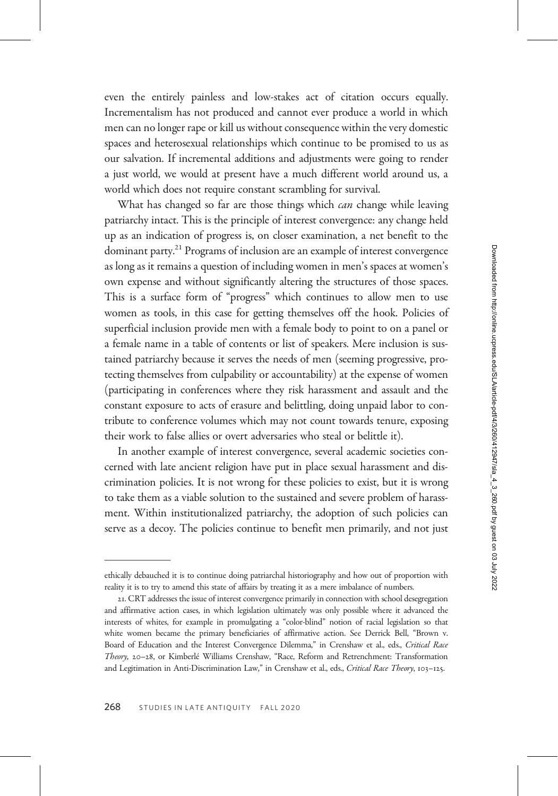even the entirely painless and low-stakes act of citation occurs equally. Incrementalism has not produced and cannot ever produce a world in which men can no longer rape or kill us without consequence within the very domestic spaces and heterosexual relationships which continue to be promised to us as our salvation. If incremental additions and adjustments were going to render a just world, we would at present have a much different world around us, a world which does not require constant scrambling for survival.

What has changed so far are those things which *can* change while leaving patriarchy intact. This is the principle of interest convergence: any change held up as an indication of progress is, on closer examination, a net benefit to the dominant party.<sup>21</sup> Programs of inclusion are an example of interest convergence as long as it remains a question of including women in men's spaces at women's own expense and without significantly altering the structures of those spaces. This is a surface form of "progress" which continues to allow men to use women as tools, in this case for getting themselves off the hook. Policies of superficial inclusion provide men with a female body to point to on a panel or a female name in a table of contents or list of speakers. Mere inclusion is sustained patriarchy because it serves the needs of men (seeming progressive, protecting themselves from culpability or accountability) at the expense of women (participating in conferences where they risk harassment and assault and the constant exposure to acts of erasure and belittling, doing unpaid labor to contribute to conference volumes which may not count towards tenure, exposing their work to false allies or overt adversaries who steal or belittle it).

In another example of interest convergence, several academic societies concerned with late ancient religion have put in place sexual harassment and discrimination policies. It is not wrong for these policies to exist, but it is wrong to take them as a viable solution to the sustained and severe problem of harassment. Within institutionalized patriarchy, the adoption of such policies can serve as a decoy. The policies continue to benefit men primarily, and not just

ethically debauched it is to continue doing patriarchal historiography and how out of proportion with reality it is to try to amend this state of affairs by treating it as a mere imbalance of numbers.

<sup>.</sup> CRT addresses the issue of interest convergence primarily in connection with school desegregation and affirmative action cases, in which legislation ultimately was only possible where it advanced the interests of whites, for example in promulgating a "color-blind" notion of racial legislation so that white women became the primary beneficiaries of affirmative action. See Derrick Bell, "Brown v. Board of Education and the Interest Convergence Dilemma," in Crenshaw et al., eds., Critical Race Theory, 20-28, or Kimberlé Williams Crenshaw, "Race, Reform and Retrenchment: Transformation and Legitimation in Anti-Discrimination Law," in Crenshaw et al., eds., Critical Race Theory, 103-125.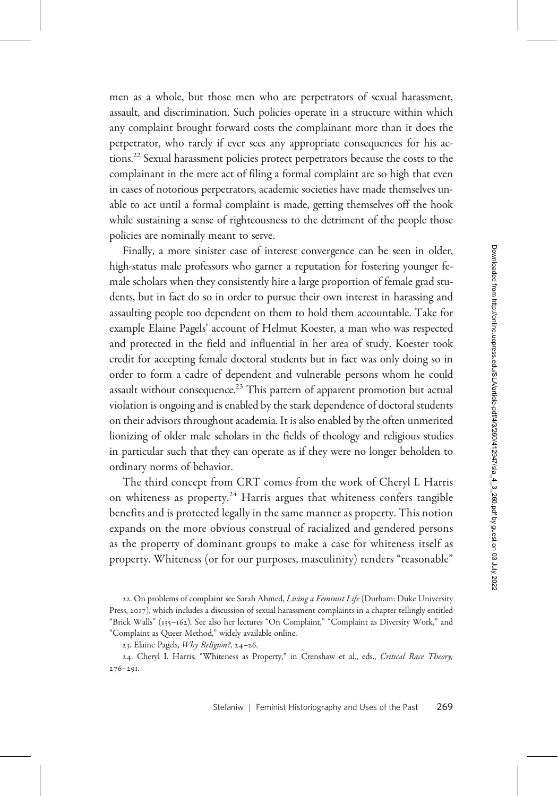men as a whole, but those men who are perpetrators of sexual harassment, assault, and discrimination. Such policies operate in a structure within which any complaint brought forward costs the complainant more than it does the perpetrator, who rarely if ever sees any appropriate consequences for his actions.22 Sexual harassment policies protect perpetrators because the costs to the complainant in the mere act of filing a formal complaint are so high that even in cases of notorious perpetrators, academic societies have made themselves unable to act until a formal complaint is made, getting themselves off the hook while sustaining a sense of righteousness to the detriment of the people those policies are nominally meant to serve.

Finally, a more sinister case of interest convergence can be seen in older, high-status male professors who garner a reputation for fostering younger female scholars when they consistently hire a large proportion of female grad students, but in fact do so in order to pursue their own interest in harassing and assaulting people too dependent on them to hold them accountable. Take for example Elaine Pagels' account of Helmut Koester, a man who was respected and protected in the field and influential in her area of study. Koester took credit for accepting female doctoral students but in fact was only doing so in order to form a cadre of dependent and vulnerable persons whom he could assault without consequence.<sup>23</sup> This pattern of apparent promotion but actual violation is ongoing and is enabled by the stark dependence of doctoral students on their advisors throughout academia. It is also enabled by the often unmerited lionizing of older male scholars in the fields of theology and religious studies in particular such that they can operate as if they were no longer beholden to ordinary norms of behavior.

The third concept from CRT comes from the work of Cheryl I. Harris on whiteness as property.<sup>24</sup> Harris argues that whiteness confers tangible benefits and is protected legally in the same manner as property. This notion expands on the more obvious construal of racialized and gendered persons as the property of dominant groups to make a case for whiteness itself as property. Whiteness (or for our purposes, masculinity) renders "reasonable"

<sup>22.</sup> On problems of complaint see Sarah Ahmed, Living a Feminist Life (Durham: Duke University Press, 2017), which includes a discussion of sexual harassment complaints in a chapter tellingly entitled "Brick Walls" (135-162). See also her lectures "On Complaint," "Complaint as Diversity Work," and "Complaint as Queer Method," widely available online.

<sup>23.</sup> Elaine Pagels,  $Why$  Religion?, 24-26.

<sup>24.</sup> Cheryl I. Harris, "Whiteness as Property," in Crenshaw et al., eds., Critical Race Theory,  $276 - 291.$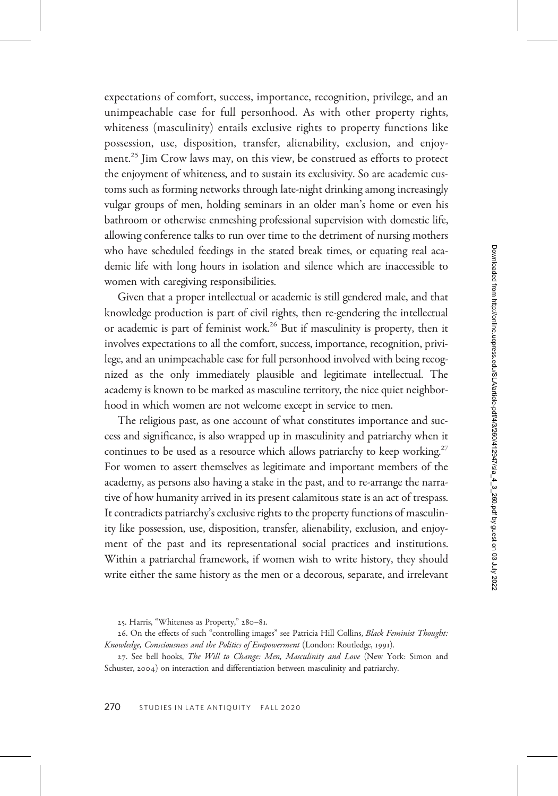expectations of comfort, success, importance, recognition, privilege, and an unimpeachable case for full personhood. As with other property rights, whiteness (masculinity) entails exclusive rights to property functions like possession, use, disposition, transfer, alienability, exclusion, and enjoyment.<sup>25</sup> Jim Crow laws may, on this view, be construed as efforts to protect the enjoyment of whiteness, and to sustain its exclusivity. So are academic customs such as forming networks through late-night drinking among increasingly vulgar groups of men, holding seminars in an older man's home or even his bathroom or otherwise enmeshing professional supervision with domestic life, allowing conference talks to run over time to the detriment of nursing mothers who have scheduled feedings in the stated break times, or equating real academic life with long hours in isolation and silence which are inaccessible to women with caregiving responsibilities.

Given that a proper intellectual or academic is still gendered male, and that knowledge production is part of civil rights, then re-gendering the intellectual or academic is part of feminist work.26 But if masculinity is property, then it involves expectations to all the comfort, success, importance, recognition, privilege, and an unimpeachable case for full personhood involved with being recognized as the only immediately plausible and legitimate intellectual. The academy is known to be marked as masculine territory, the nice quiet neighborhood in which women are not welcome except in service to men.

The religious past, as one account of what constitutes importance and success and significance, is also wrapped up in masculinity and patriarchy when it continues to be used as a resource which allows patriarchy to keep working.<sup>27</sup> For women to assert themselves as legitimate and important members of the academy, as persons also having a stake in the past, and to re-arrange the narrative of how humanity arrived in its present calamitous state is an act of trespass. It contradicts patriarchy's exclusive rights to the property functions of masculinity like possession, use, disposition, transfer, alienability, exclusion, and enjoyment of the past and its representational social practices and institutions. Within a patriarchal framework, if women wish to write history, they should write either the same history as the men or a decorous, separate, and irrelevant

<sup>25.</sup> Harris, "Whiteness as Property," 280-81.

<sup>.</sup> On the effects of such "controlling images" see Patricia Hill Collins, Black Feminist Thought: Knowledge, Consciousness and the Politics of Empowerment (London: Routledge, 1991).

<sup>27.</sup> See bell hooks, The Will to Change: Men, Masculinity and Love (New York: Simon and Schuster, 2004) on interaction and differentiation between masculinity and patriarchy.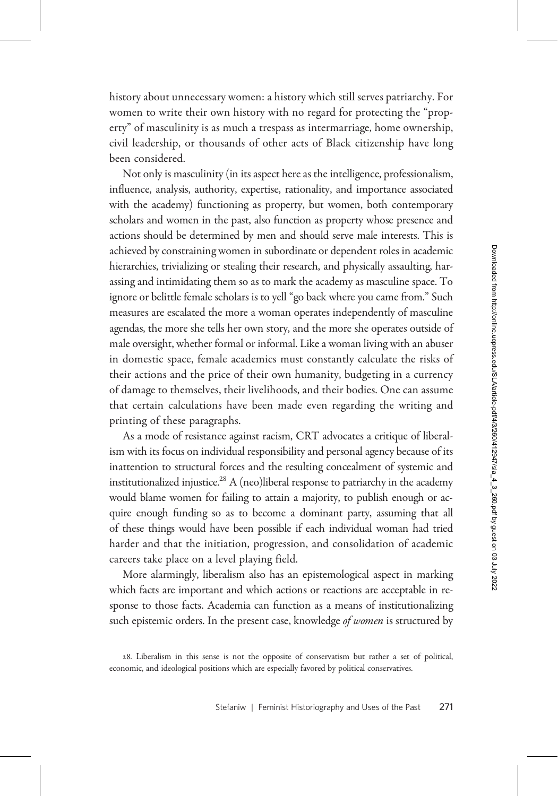history about unnecessary women: a history which still serves patriarchy. For women to write their own history with no regard for protecting the "property" of masculinity is as much a trespass as intermarriage, home ownership, civil leadership, or thousands of other acts of Black citizenship have long been considered.

Not only is masculinity (in its aspect here as the intelligence, professionalism, influence, analysis, authority, expertise, rationality, and importance associated with the academy) functioning as property, but women, both contemporary scholars and women in the past, also function as property whose presence and actions should be determined by men and should serve male interests. This is achieved by constraining women in subordinate or dependent roles in academic hierarchies, trivializing or stealing their research, and physically assaulting, harassing and intimidating them so as to mark the academy as masculine space. To ignore or belittle female scholars is to yell "go back where you came from." Such measures are escalated the more a woman operates independently of masculine agendas, the more she tells her own story, and the more she operates outside of male oversight, whether formal or informal. Like a woman living with an abuser in domestic space, female academics must constantly calculate the risks of their actions and the price of their own humanity, budgeting in a currency of damage to themselves, their livelihoods, and their bodies. One can assume that certain calculations have been made even regarding the writing and printing of these paragraphs.

As a mode of resistance against racism, CRT advocates a critique of liberalism with its focus on individual responsibility and personal agency because of its inattention to structural forces and the resulting concealment of systemic and institutionalized injustice.<sup>28</sup> A (neo)liberal response to patriarchy in the academy would blame women for failing to attain a majority, to publish enough or acquire enough funding so as to become a dominant party, assuming that all of these things would have been possible if each individual woman had tried harder and that the initiation, progression, and consolidation of academic careers take place on a level playing field.

More alarmingly, liberalism also has an epistemological aspect in marking which facts are important and which actions or reactions are acceptable in response to those facts. Academia can function as a means of institutionalizing such epistemic orders. In the present case, knowledge of women is structured by

<sup>.</sup> Liberalism in this sense is not the opposite of conservatism but rather a set of political, economic, and ideological positions which are especially favored by political conservatives.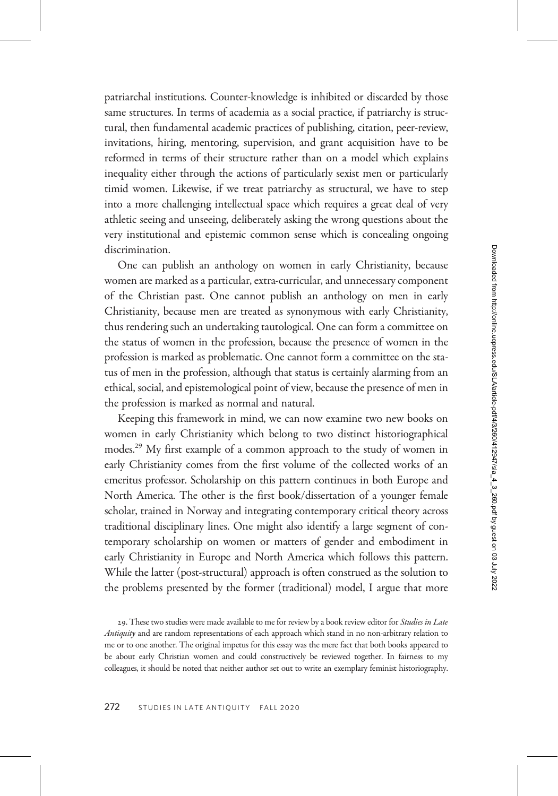patriarchal institutions. Counter-knowledge is inhibited or discarded by those same structures. In terms of academia as a social practice, if patriarchy is structural, then fundamental academic practices of publishing, citation, peer-review, invitations, hiring, mentoring, supervision, and grant acquisition have to be reformed in terms of their structure rather than on a model which explains inequality either through the actions of particularly sexist men or particularly timid women. Likewise, if we treat patriarchy as structural, we have to step into a more challenging intellectual space which requires a great deal of very athletic seeing and unseeing, deliberately asking the wrong questions about the very institutional and epistemic common sense which is concealing ongoing discrimination.

One can publish an anthology on women in early Christianity, because women are marked as a particular, extra-curricular, and unnecessary component of the Christian past. One cannot publish an anthology on men in early Christianity, because men are treated as synonymous with early Christianity, thus rendering such an undertaking tautological. One can form a committee on the status of women in the profession, because the presence of women in the profession is marked as problematic. One cannot form a committee on the status of men in the profession, although that status is certainly alarming from an ethical, social, and epistemological point of view, because the presence of men in the profession is marked as normal and natural.

Keeping this framework in mind, we can now examine two new books on women in early Christianity which belong to two distinct historiographical modes.29 My first example of a common approach to the study of women in early Christianity comes from the first volume of the collected works of an emeritus professor. Scholarship on this pattern continues in both Europe and North America. The other is the first book/dissertation of a younger female scholar, trained in Norway and integrating contemporary critical theory across traditional disciplinary lines. One might also identify a large segment of contemporary scholarship on women or matters of gender and embodiment in early Christianity in Europe and North America which follows this pattern. While the latter (post-structural) approach is often construed as the solution to the problems presented by the former (traditional) model, I argue that more

<sup>29.</sup> These two studies were made available to me for review by a book review editor for Studies in Late Antiquity and are random representations of each approach which stand in no non-arbitrary relation to me or to one another. The original impetus for this essay was the mere fact that both books appeared to be about early Christian women and could constructively be reviewed together. In fairness to my colleagues, it should be noted that neither author set out to write an exemplary feminist historiography.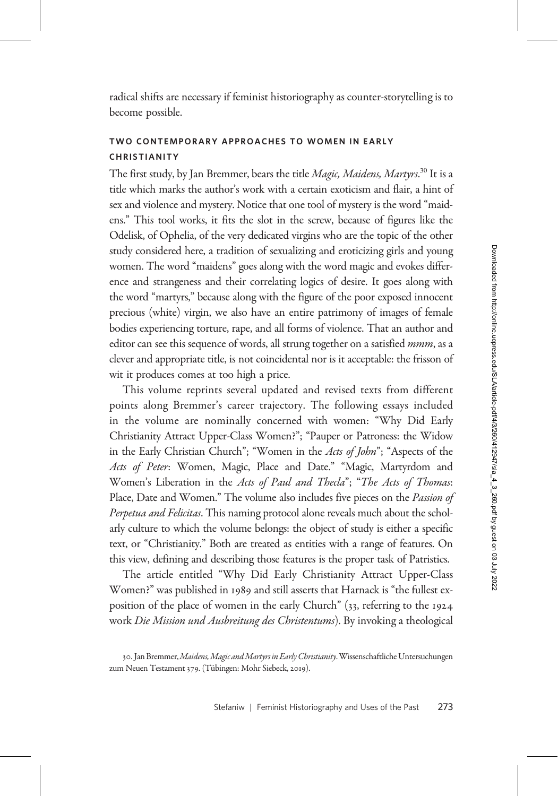radical shifts are necessary if feminist historiography as counter-storytelling is to become possible.

## TWO CONTEMPORARY APPROACHES TO WOMEN IN EARLY **CHRISTIANITY**

The first study, by Jan Bremmer, bears the title *Magic, Maidens, Martyrs*.<sup>30</sup> It is a title which marks the author's work with a certain exoticism and flair, a hint of sex and violence and mystery. Notice that one tool of mystery is the word "maidens." This tool works, it fits the slot in the screw, because of figures like the Odelisk, of Ophelia, of the very dedicated virgins who are the topic of the other study considered here, a tradition of sexualizing and eroticizing girls and young women. The word "maidens" goes along with the word magic and evokes difference and strangeness and their correlating logics of desire. It goes along with the word "martyrs," because along with the figure of the poor exposed innocent precious (white) virgin, we also have an entire patrimony of images of female bodies experiencing torture, rape, and all forms of violence. That an author and editor can see this sequence of words, all strung together on a satisfied *mmm*, as a clever and appropriate title, is not coincidental nor is it acceptable: the frisson of wit it produces comes at too high a price.

This volume reprints several updated and revised texts from different points along Bremmer's career trajectory. The following essays included in the volume are nominally concerned with women: "Why Did Early Christianity Attract Upper-Class Women?"; "Pauper or Patroness: the Widow in the Early Christian Church"; "Women in the Acts of John"; "Aspects of the Acts of Peter: Women, Magic, Place and Date." "Magic, Martyrdom and Women's Liberation in the Acts of Paul and Thecla"; "The Acts of Thomas: Place, Date and Women." The volume also includes five pieces on the *Passion of* Perpetua and Felicitas. This naming protocol alone reveals much about the scholarly culture to which the volume belongs: the object of study is either a specific text, or "Christianity." Both are treated as entities with a range of features. On this view, defining and describing those features is the proper task of Patristics.

The article entitled "Why Did Early Christianity Attract Upper-Class Women?" was published in 1989 and still asserts that Harnack is "the fullest exposition of the place of women in the early Church"  $(33, 7)$  referring to the 1924 work Die Mission und Ausbreitung des Christentums). By invoking a theological

<sup>30.</sup> Jan Bremmer, Maidens, Magic and Martyrs in Early Christianity. Wissenschaftliche Untersuchungen zum Neuen Testament 379. (Tübingen: Mohr Siebeck, 2019).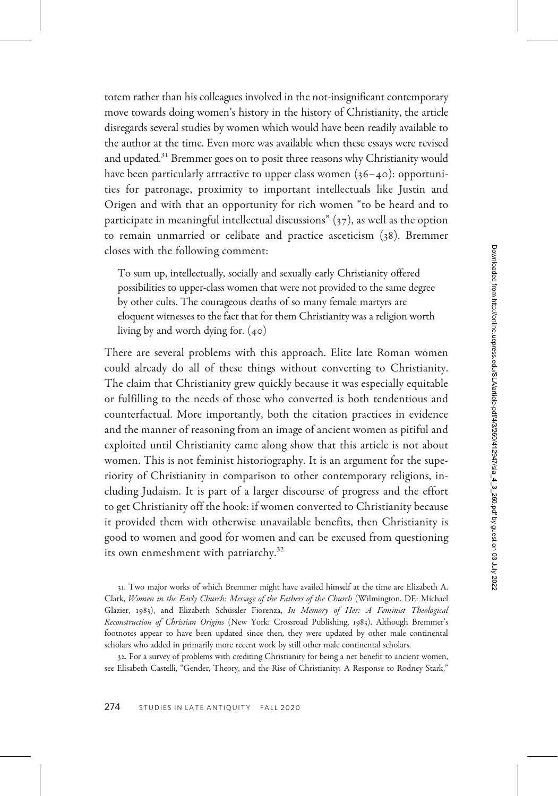totem rather than his colleagues involved in the not-insignificant contemporary move towards doing women's history in the history of Christianity, the article disregards several studies by women which would have been readily available to the author at the time. Even more was available when these essays were revised and updated.31 Bremmer goes on to posit three reasons why Christianity would have been particularly attractive to upper class women  $(36 - 40)$ : opportunities for patronage, proximity to important intellectuals like Justin and Origen and with that an opportunity for rich women "to be heard and to participate in meaningful intellectual discussions"  $(37)$ , as well as the option to remain unmarried or celibate and practice asceticism  $(38)$ . Bremmer closes with the following comment:

To sum up, intellectually, socially and sexually early Christianity offered possibilities to upper-class women that were not provided to the same degree by other cults. The courageous deaths of so many female martyrs are eloquent witnesses to the fact that for them Christianity was a religion worth living by and worth dying for.  $(40)$ 

There are several problems with this approach. Elite late Roman women could already do all of these things without converting to Christianity. The claim that Christianity grew quickly because it was especially equitable or fulfilling to the needs of those who converted is both tendentious and counterfactual. More importantly, both the citation practices in evidence and the manner of reasoning from an image of ancient women as pitiful and exploited until Christianity came along show that this article is not about women. This is not feminist historiography. It is an argument for the superiority of Christianity in comparison to other contemporary religions, including Judaism. It is part of a larger discourse of progress and the effort to get Christianity off the hook: if women converted to Christianity because it provided them with otherwise unavailable benefits, then Christianity is good to women and good for women and can be excused from questioning its own enmeshment with patriarchy.<sup>32</sup>

. Two major works of which Bremmer might have availed himself at the time are Elizabeth A. Clark, Women in the Early Church: Message of the Fathers of the Church (Wilmington, DE: Michael Glazier, 1983), and Elizabeth Schüssler Fiorenza, In Memory of Her: A Feminist Theological Reconstruction of Christian Origins (New York: Crossroad Publishing, 1983). Although Bremmer's footnotes appear to have been updated since then, they were updated by other male continental scholars who added in primarily more recent work by still other male continental scholars.

. For a survey of problems with crediting Christianity for being a net benefit to ancient women, see Elisabeth Castelli, "Gender, Theory, and the Rise of Christianity: A Response to Rodney Stark,"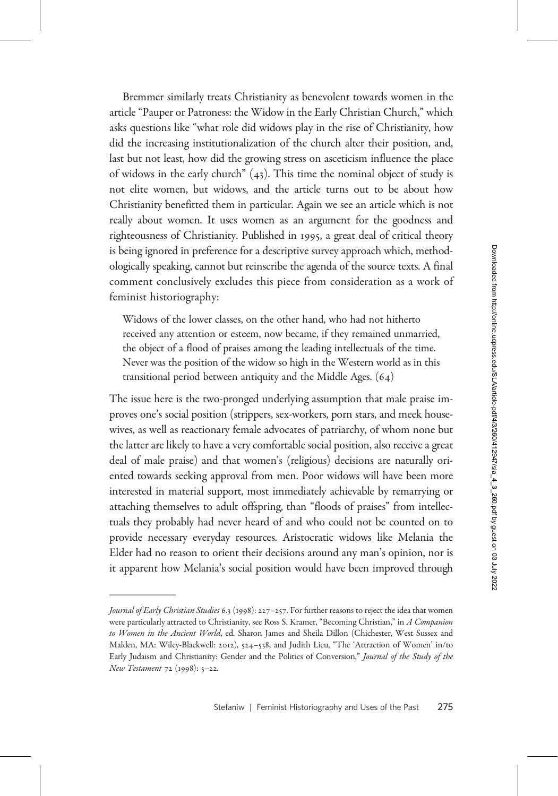Bremmer similarly treats Christianity as benevolent towards women in the article "Pauper or Patroness: the Widow in the Early Christian Church," which asks questions like "what role did widows play in the rise of Christianity, how did the increasing institutionalization of the church alter their position, and, last but not least, how did the growing stress on asceticism influence the place of widows in the early church"  $(43)$ . This time the nominal object of study is not elite women, but widows, and the article turns out to be about how Christianity benefitted them in particular. Again we see an article which is not really about women. It uses women as an argument for the goodness and righteousness of Christianity. Published in 1995, a great deal of critical theory is being ignored in preference for a descriptive survey approach which, methodologically speaking, cannot but reinscribe the agenda of the source texts. A final comment conclusively excludes this piece from consideration as a work of feminist historiography:

Widows of the lower classes, on the other hand, who had not hitherto received any attention or esteem, now became, if they remained unmarried, the object of a flood of praises among the leading intellectuals of the time. Never was the position of the widow so high in the Western world as in this transitional period between antiquity and the Middle Ages.  $(64)$ 

The issue here is the two-pronged underlying assumption that male praise improves one's social position (strippers, sex-workers, porn stars, and meek housewives, as well as reactionary female advocates of patriarchy, of whom none but the latter are likely to have a very comfortable social position, also receive a great deal of male praise) and that women's (religious) decisions are naturally oriented towards seeking approval from men. Poor widows will have been more interested in material support, most immediately achievable by remarrying or attaching themselves to adult offspring, than "floods of praises" from intellectuals they probably had never heard of and who could not be counted on to provide necessary everyday resources. Aristocratic widows like Melania the Elder had no reason to orient their decisions around any man's opinion, nor is it apparent how Melania's social position would have been improved through Downloaded from http://online.ucpress.edu/SLA/article-pdf/4/3/260/4/2847/sla\_3\_260.pdf by guest on 03 July 2022 Downloaded from http://online.ucpress.edu/SLA/article-pdf/4/3/260/412947/sla\_4\_3\_260.pdf by guest on 03 July 2022

Journal of Early Christian Studies 6.3 (1998): 227-257. For further reasons to reject the idea that women were particularly attracted to Christianity, see Ross S. Kramer, "Becoming Christian," in A Companion to Women in the Ancient World, ed. Sharon James and Sheila Dillon (Chichester, West Sussex and Malden, MA: Wiley-Blackwell: 2012), 524-538, and Judith Lieu, "The 'Attraction of Women' in/to Early Judaism and Christianity: Gender and the Politics of Conversion," Journal of the Study of the New Testament  $72$  (1998): 5-22.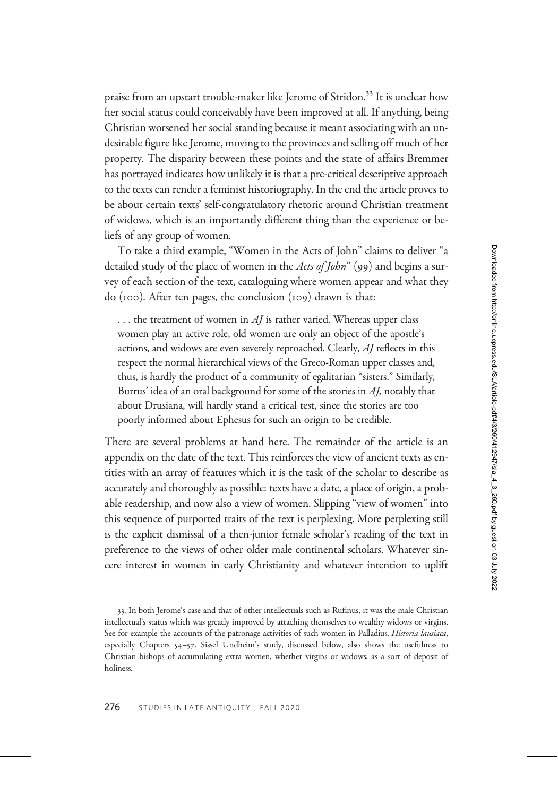praise from an upstart trouble-maker like Jerome of Stridon.33 It is unclear how her social status could conceivably have been improved at all. If anything, being Christian worsened her social standing because it meant associating with an undesirable figure like Jerome, moving to the provinces and selling off much of her property. The disparity between these points and the state of affairs Bremmer has portrayed indicates how unlikely it is that a pre-critical descriptive approach to the texts can render a feminist historiography. In the end the article proves to be about certain texts' self-congratulatory rhetoric around Christian treatment of widows, which is an importantly different thing than the experience or beliefs of any group of women.

To take a third example, "Women in the Acts of John" claims to deliver "a detailed study of the place of women in the Acts of John" (99) and begins a survey of each section of the text, cataloguing where women appear and what they do ( $100$ ). After ten pages, the conclusion ( $109$ ) drawn is that:

 $\dots$  the treatment of women in  $AI$  is rather varied. Whereas upper class women play an active role, old women are only an object of the apostle's actions, and widows are even severely reproached. Clearly, AJ reflects in this respect the normal hierarchical views of the Greco-Roman upper classes and, thus, is hardly the product of a community of egalitarian "sisters." Similarly, Burrus' idea of an oral background for some of the stories in AJ, notably that about Drusiana, will hardly stand a critical test, since the stories are too poorly informed about Ephesus for such an origin to be credible.

There are several problems at hand here. The remainder of the article is an appendix on the date of the text. This reinforces the view of ancient texts as entities with an array of features which it is the task of the scholar to describe as accurately and thoroughly as possible: texts have a date, a place of origin, a probable readership, and now also a view of women. Slipping "view of women" into this sequence of purported traits of the text is perplexing. More perplexing still is the explicit dismissal of a then-junior female scholar's reading of the text in preference to the views of other older male continental scholars. Whatever sincere interest in women in early Christianity and whatever intention to uplift

. In both Jerome's case and that of other intellectuals such as Rufinus, it was the male Christian intellectual's status which was greatly improved by attaching themselves to wealthy widows or virgins. See for example the accounts of the patronage activities of such women in Palladius, Historia lausiaca, especially Chapters  $54-57$ . Sissel Undheim's study, discussed below, also shows the usefulness to Christian bishops of accumulating extra women, whether virgins or widows, as a sort of deposit of holiness.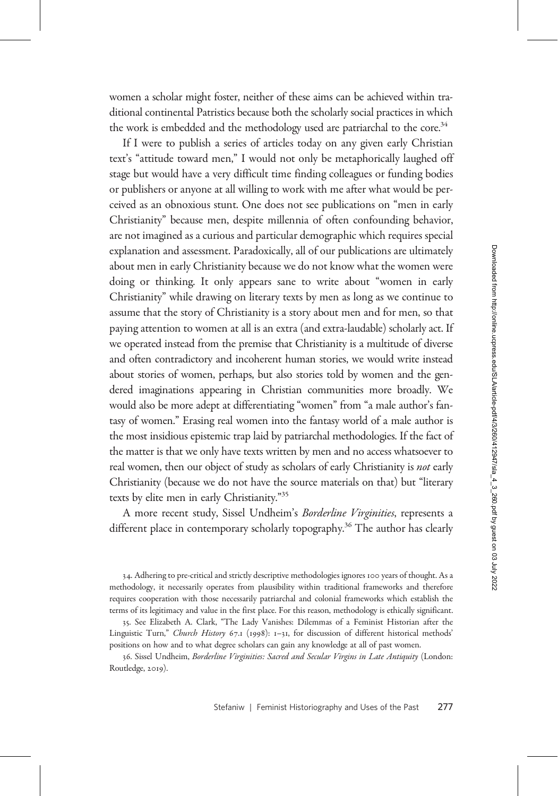women a scholar might foster, neither of these aims can be achieved within traditional continental Patristics because both the scholarly social practices in which the work is embedded and the methodology used are patriarchal to the core.<sup>34</sup>

If I were to publish a series of articles today on any given early Christian text's "attitude toward men," I would not only be metaphorically laughed off stage but would have a very difficult time finding colleagues or funding bodies or publishers or anyone at all willing to work with me after what would be perceived as an obnoxious stunt. One does not see publications on "men in early Christianity" because men, despite millennia of often confounding behavior, are not imagined as a curious and particular demographic which requires special explanation and assessment. Paradoxically, all of our publications are ultimately about men in early Christianity because we do not know what the women were doing or thinking. It only appears sane to write about "women in early Christianity" while drawing on literary texts by men as long as we continue to assume that the story of Christianity is a story about men and for men, so that paying attention to women at all is an extra (and extra-laudable) scholarly act. If we operated instead from the premise that Christianity is a multitude of diverse and often contradictory and incoherent human stories, we would write instead about stories of women, perhaps, but also stories told by women and the gendered imaginations appearing in Christian communities more broadly. We would also be more adept at differentiating "women" from "a male author's fantasy of women." Erasing real women into the fantasy world of a male author is the most insidious epistemic trap laid by patriarchal methodologies. If the fact of the matter is that we only have texts written by men and no access whatsoever to real women, then our object of study as scholars of early Christianity is not early Christianity (because we do not have the source materials on that) but "literary texts by elite men in early Christianity." 35

A more recent study, Sissel Undheim's Borderline Virginities, represents a different place in contemporary scholarly topography.<sup>36</sup> The author has clearly

34. Adhering to pre-critical and strictly descriptive methodologies ignores 100 years of thought. As a methodology, it necessarily operates from plausibility within traditional frameworks and therefore requires cooperation with those necessarily patriarchal and colonial frameworks which establish the terms of its legitimacy and value in the first place. For this reason, methodology is ethically significant.

. See Elizabeth A. Clark, "The Lady Vanishes: Dilemmas of a Feminist Historian after the Linguistic Turn," Church History 67.1 (1998): 1-31, for discussion of different historical methods' positions on how and to what degree scholars can gain any knowledge at all of past women.

36. Sissel Undheim, Borderline Virginities: Sacred and Secular Virgins in Late Antiquity (London: Routledge, 2019).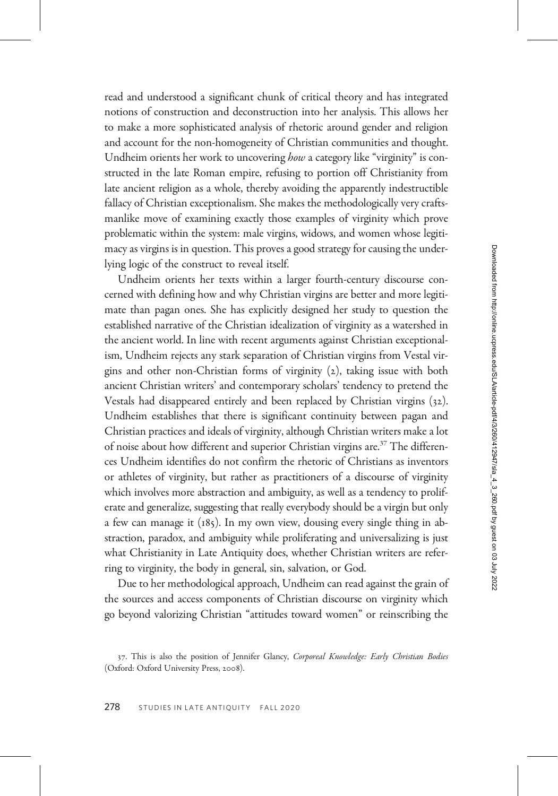read and understood a significant chunk of critical theory and has integrated notions of construction and deconstruction into her analysis. This allows her to make a more sophisticated analysis of rhetoric around gender and religion and account for the non-homogeneity of Christian communities and thought. Undheim orients her work to uncovering how a category like "virginity" is constructed in the late Roman empire, refusing to portion off Christianity from late ancient religion as a whole, thereby avoiding the apparently indestructible fallacy of Christian exceptionalism. She makes the methodologically very craftsmanlike move of examining exactly those examples of virginity which prove problematic within the system: male virgins, widows, and women whose legitimacy as virgins is in question. This proves a good strategy for causing the underlying logic of the construct to reveal itself.

Undheim orients her texts within a larger fourth-century discourse concerned with defining how and why Christian virgins are better and more legitimate than pagan ones. She has explicitly designed her study to question the established narrative of the Christian idealization of virginity as a watershed in the ancient world. In line with recent arguments against Christian exceptionalism, Undheim rejects any stark separation of Christian virgins from Vestal virgins and other non-Christian forms of virginity  $(z)$ , taking issue with both ancient Christian writers' and contemporary scholars' tendency to pretend the Vestals had disappeared entirely and been replaced by Christian virgins (32). Undheim establishes that there is significant continuity between pagan and Christian practices and ideals of virginity, although Christian writers make a lot of noise about how different and superior Christian virgins are.<sup>37</sup> The differences Undheim identifies do not confirm the rhetoric of Christians as inventors or athletes of virginity, but rather as practitioners of a discourse of virginity which involves more abstraction and ambiguity, as well as a tendency to proliferate and generalize, suggesting that really everybody should be a virgin but only a few can manage it  $(185)$ . In my own view, dousing every single thing in abstraction, paradox, and ambiguity while proliferating and universalizing is just what Christianity in Late Antiquity does, whether Christian writers are referring to virginity, the body in general, sin, salvation, or God.

Due to her methodological approach, Undheim can read against the grain of the sources and access components of Christian discourse on virginity which go beyond valorizing Christian "attitudes toward women" or reinscribing the

<sup>37.</sup> This is also the position of Jennifer Glancy, Corporeal Knowledge: Early Christian Bodies (Oxford: Oxford University Press, 2008).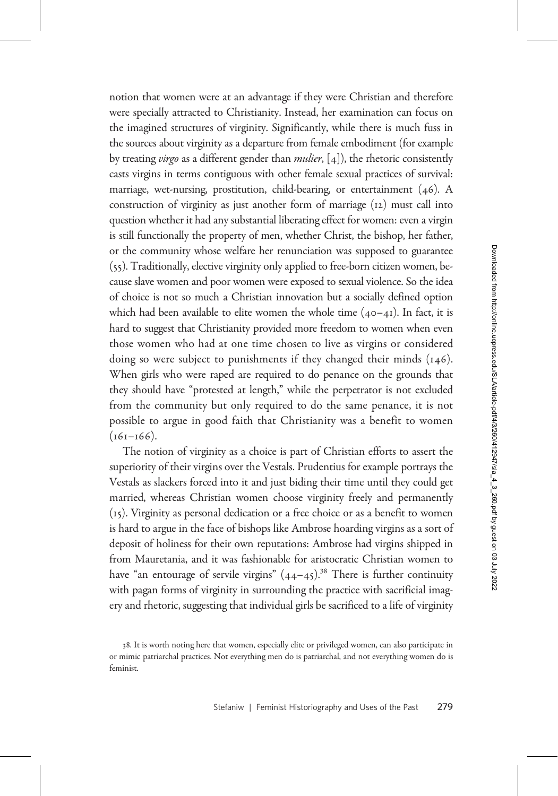notion that women were at an advantage if they were Christian and therefore were specially attracted to Christianity. Instead, her examination can focus on the imagined structures of virginity. Significantly, while there is much fuss in the sources about virginity as a departure from female embodiment (for example by treating *virgo* as a different gender than *mulier*, [4]), the rhetoric consistently casts virgins in terms contiguous with other female sexual practices of survival: marriage, wet-nursing, prostitution, child-bearing, or entertainment  $(46)$ . A construction of virginity as just another form of marriage  $(i2)$  must call into question whether it had any substantial liberating effect for women: even a virgin is still functionally the property of men, whether Christ, the bishop, her father, or the community whose welfare her renunciation was supposed to guarantee  $(55)$ . Traditionally, elective virginity only applied to free-born citizen women, because slave women and poor women were exposed to sexual violence. So the idea of choice is not so much a Christian innovation but a socially defined option which had been available to elite women the whole time  $(40-41)$ . In fact, it is hard to suggest that Christianity provided more freedom to women when even those women who had at one time chosen to live as virgins or considered doing so were subject to punishments if they changed their minds  $(146)$ . When girls who were raped are required to do penance on the grounds that they should have "protested at length," while the perpetrator is not excluded from the community but only required to do the same penance, it is not possible to argue in good faith that Christianity was a benefit to women  $(161 - 166)$ .

The notion of virginity as a choice is part of Christian efforts to assert the superiority of their virgins over the Vestals. Prudentius for example portrays the Vestals as slackers forced into it and just biding their time until they could get married, whereas Christian women choose virginity freely and permanently (). Virginity as personal dedication or a free choice or as a benefit to women is hard to argue in the face of bishops like Ambrose hoarding virgins as a sort of deposit of holiness for their own reputations: Ambrose had virgins shipped in from Mauretania, and it was fashionable for aristocratic Christian women to have "an entourage of servile virgins"  $(44-45)^{38}$  There is further continuity with pagan forms of virginity in surrounding the practice with sacrificial imagery and rhetoric, suggesting that individual girls be sacrificed to a life of virginity

<sup>.</sup> It is worth noting here that women, especially elite or privileged women, can also participate in or mimic patriarchal practices. Not everything men do is patriarchal, and not everything women do is feminist.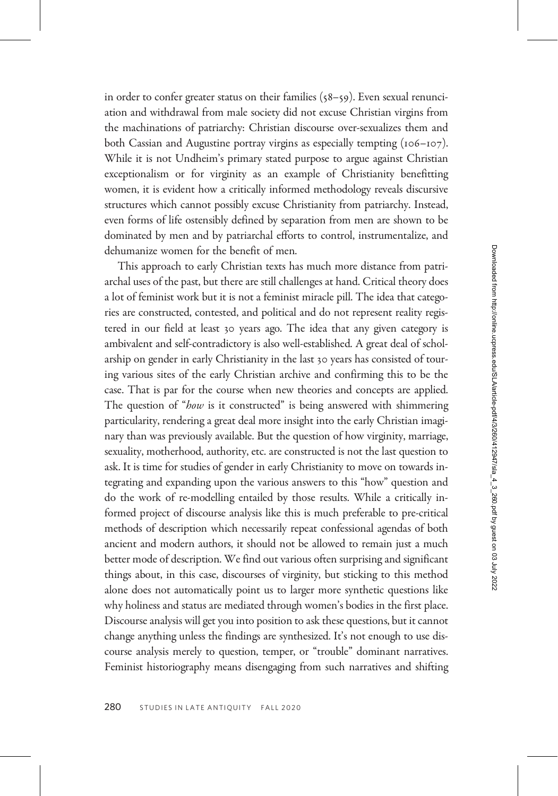in order to confer greater status on their families  $(58-59)$ . Even sexual renunciation and withdrawal from male society did not excuse Christian virgins from the machinations of patriarchy: Christian discourse over-sexualizes them and both Cassian and Augustine portray virgins as especially tempting  $(106 - 107)$ . While it is not Undheim's primary stated purpose to argue against Christian exceptionalism or for virginity as an example of Christianity benefitting women, it is evident how a critically informed methodology reveals discursive structures which cannot possibly excuse Christianity from patriarchy. Instead, even forms of life ostensibly defined by separation from men are shown to be dominated by men and by patriarchal efforts to control, instrumentalize, and dehumanize women for the benefit of men.

This approach to early Christian texts has much more distance from patriarchal uses of the past, but there are still challenges at hand. Critical theory does a lot of feminist work but it is not a feminist miracle pill. The idea that categories are constructed, contested, and political and do not represent reality registered in our field at least 30 years ago. The idea that any given category is ambivalent and self-contradictory is also well-established. A great deal of scholarship on gender in early Christianity in the last 30 years has consisted of touring various sites of the early Christian archive and confirming this to be the case. That is par for the course when new theories and concepts are applied. The question of "how is it constructed" is being answered with shimmering particularity, rendering a great deal more insight into the early Christian imaginary than was previously available. But the question of how virginity, marriage, sexuality, motherhood, authority, etc. are constructed is not the last question to ask. It is time for studies of gender in early Christianity to move on towards integrating and expanding upon the various answers to this "how" question and do the work of re-modelling entailed by those results. While a critically informed project of discourse analysis like this is much preferable to pre-critical methods of description which necessarily repeat confessional agendas of both ancient and modern authors, it should not be allowed to remain just a much better mode of description. We find out various often surprising and significant things about, in this case, discourses of virginity, but sticking to this method alone does not automatically point us to larger more synthetic questions like why holiness and status are mediated through women's bodies in the first place. Discourse analysis will get you into position to ask these questions, but it cannot change anything unless the findings are synthesized. It's not enough to use discourse analysis merely to question, temper, or "trouble" dominant narratives. Feminist historiography means disengaging from such narratives and shifting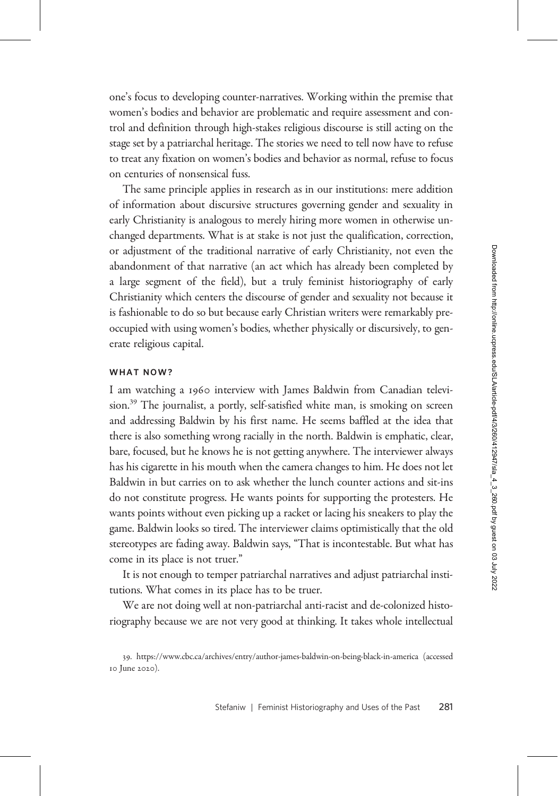one's focus to developing counter-narratives. Working within the premise that women's bodies and behavior are problematic and require assessment and control and definition through high-stakes religious discourse is still acting on the stage set by a patriarchal heritage. The stories we need to tell now have to refuse to treat any fixation on women's bodies and behavior as normal, refuse to focus on centuries of nonsensical fuss.

The same principle applies in research as in our institutions: mere addition of information about discursive structures governing gender and sexuality in early Christianity is analogous to merely hiring more women in otherwise unchanged departments. What is at stake is not just the qualification, correction, or adjustment of the traditional narrative of early Christianity, not even the abandonment of that narrative (an act which has already been completed by a large segment of the field), but a truly feminist historiography of early Christianity which centers the discourse of gender and sexuality not because it is fashionable to do so but because early Christian writers were remarkably preoccupied with using women's bodies, whether physically or discursively, to generate religious capital.

## WHAT NOW?

I am watching a 1960 interview with James Baldwin from Canadian television.<sup>39</sup> The journalist, a portly, self-satisfied white man, is smoking on screen and addressing Baldwin by his first name. He seems baffled at the idea that there is also something wrong racially in the north. Baldwin is emphatic, clear, bare, focused, but he knows he is not getting anywhere. The interviewer always has his cigarette in his mouth when the camera changes to him. He does not let Baldwin in but carries on to ask whether the lunch counter actions and sit-ins do not constitute progress. He wants points for supporting the protesters. He wants points without even picking up a racket or lacing his sneakers to play the game. Baldwin looks so tired. The interviewer claims optimistically that the old stereotypes are fading away. Baldwin says, "That is incontestable. But what has come in its place is not truer."

It is not enough to temper patriarchal narratives and adjust patriarchal institutions. What comes in its place has to be truer.

We are not doing well at non-patriarchal anti-racist and de-colonized historiography because we are not very good at thinking. It takes whole intellectual

<sup>.</sup><https://www.cbc.ca/archives/entry/author-james-baldwin-on-being-black-in-america> (accessed 10 June 2020).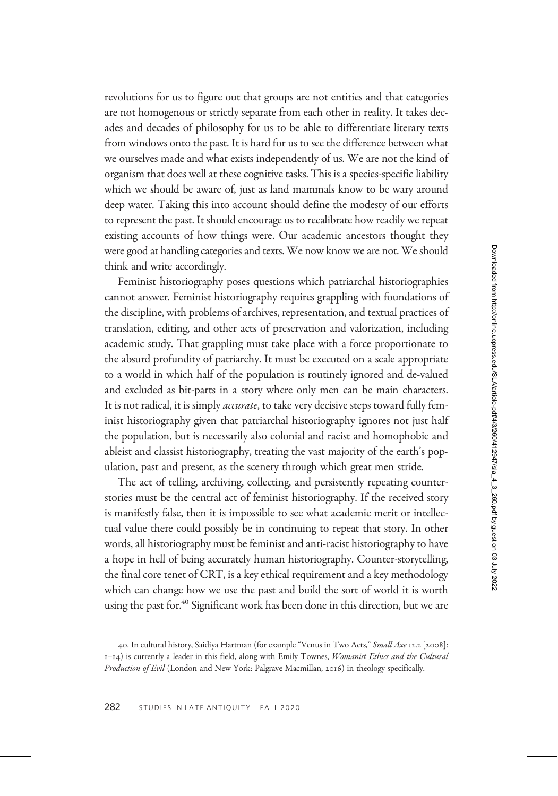revolutions for us to figure out that groups are not entities and that categories are not homogenous or strictly separate from each other in reality. It takes decades and decades of philosophy for us to be able to differentiate literary texts from windows onto the past. It is hard for us to see the difference between what we ourselves made and what exists independently of us. We are not the kind of organism that does well at these cognitive tasks. This is a species-specific liability which we should be aware of, just as land mammals know to be wary around deep water. Taking this into account should define the modesty of our efforts to represent the past. It should encourage us to recalibrate how readily we repeat existing accounts of how things were. Our academic ancestors thought they were good at handling categories and texts. We now know we are not. We should think and write accordingly.

Feminist historiography poses questions which patriarchal historiographies cannot answer. Feminist historiography requires grappling with foundations of the discipline, with problems of archives, representation, and textual practices of translation, editing, and other acts of preservation and valorization, including academic study. That grappling must take place with a force proportionate to the absurd profundity of patriarchy. It must be executed on a scale appropriate to a world in which half of the population is routinely ignored and de-valued and excluded as bit-parts in a story where only men can be main characters. It is not radical, it is simply *accurate*, to take very decisive steps toward fully feminist historiography given that patriarchal historiography ignores not just half the population, but is necessarily also colonial and racist and homophobic and ableist and classist historiography, treating the vast majority of the earth's population, past and present, as the scenery through which great men stride.

The act of telling, archiving, collecting, and persistently repeating counterstories must be the central act of feminist historiography. If the received story is manifestly false, then it is impossible to see what academic merit or intellectual value there could possibly be in continuing to repeat that story. In other words, all historiography must be feminist and anti-racist historiography to have a hope in hell of being accurately human historiography. Counter-storytelling, the final core tenet of CRT, is a key ethical requirement and a key methodology which can change how we use the past and build the sort of world it is worth using the past for.<sup>40</sup> Significant work has been done in this direction, but we are

<sup>40.</sup> In cultural history, Saidiya Hartman (for example "Venus in Two Acts," Small Axe 12.2 [2008]:  $I-I$ 4) is currently a leader in this field, along with Emily Townes, *Womanist Ethics and the Cultural* Production of Evil (London and New York: Palgrave Macmillan, 2016) in theology specifically.